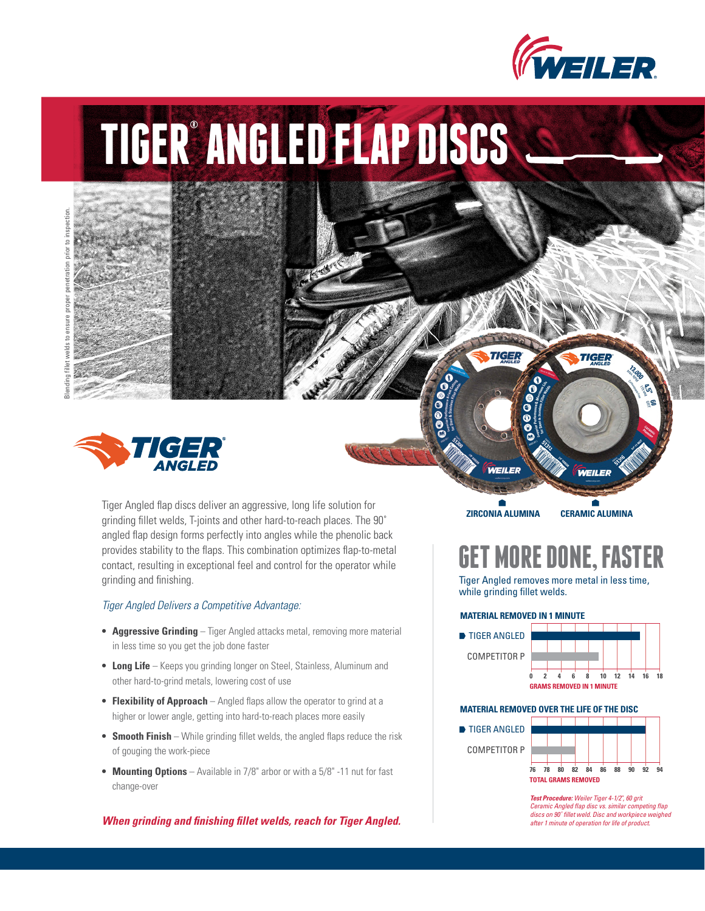

# **TIGER® ANGLED FLAP DISCS**



Blending fillet welds to ensure proper penetration prior to inspection.

Tiger Angled flap discs deliver an aggressive, long life solution for grinding fillet welds, T-joints and other hard-to-reach places. The 90˚ angled flap design forms perfectly into angles while the phenolic back provides stability to the flaps. This combination optimizes flap-to-metal contact, resulting in exceptional feel and control for the operator while grinding and finishing.

### *Tiger Angled Delivers a Competitive Advantage:*

- **Aggressive Grinding** Tiger Angled attacks metal, removing more material in less time so you get the job done faster
- **Long Life** Keeps you grinding longer on Steel, Stainless, Aluminum and other hard-to-grind metals, lowering cost of use
- **Flexibility of Approach** Angled flaps allow the operator to grind at a higher or lower angle, getting into hard-to-reach places more easily
- **Smooth Finish** While grinding fillet welds, the angled flaps reduce the risk of gouging the work-piece
- **Mounting Options** Available in 7/8" arbor or with a 5/8" -11 nut for fast change-over

*When grinding and finishing fillet welds, reach for Tiger Angled.* 

**ZIRCONIA ALUMINA CERAMIC ALUMINA**

WEILER

**TIGER** 

## **GET MORE DONE, FASTER**

Tiger Angled removes more metal in less time, while grinding fillet welds.

#### **MATERIAL REMOVED IN 1 MINUTE**



#### **MATERIAL REMOVED OVER THE LIFE OF THE DISC**



*Test Procedure: Weiler Tiger 4-1/2", 60 grit Ceramic Angled flap disc vs. similar competing flap discs on 90˚ fillet weld. Disc and workpiece weighed after 1 minute of operation for life of product.*